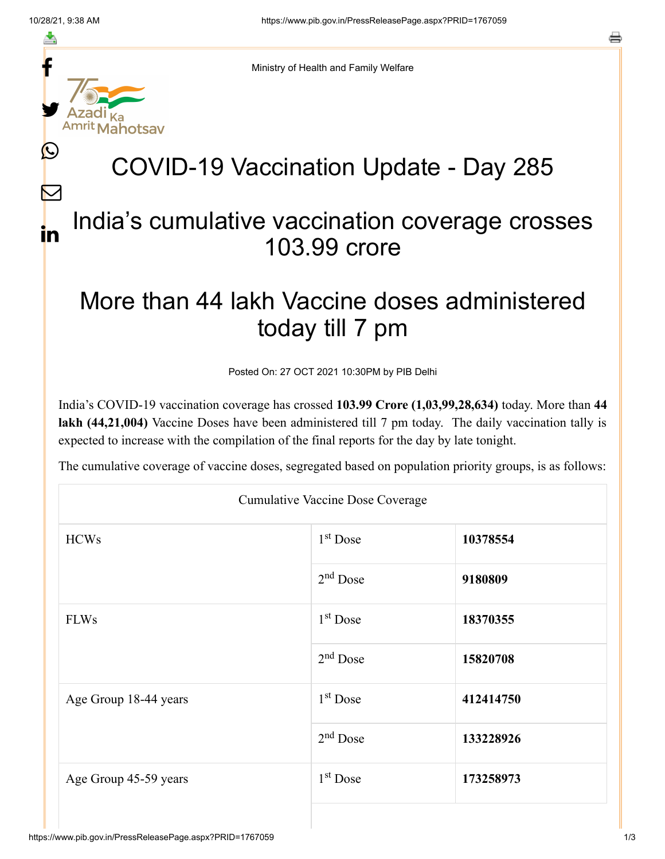≛

 $\bm{\nabla}$ 

in



Ministry of Health and Family Welfare

## COVID-19 Vaccination Update - Day 285

## India's cumulative vaccination coverage crosses 103.99 crore

## More than 44 lakh Vaccine doses administered today till 7 pm

Posted On: 27 OCT 2021 10:30PM by PIB Delhi

India's COVID-19 vaccination coverage has crossed **103.99 Crore (1,03,99,28,634)** today. More than **44 lakh (44,21,004)** Vaccine Doses have been administered till 7 pm today. The daily vaccination tally is expected to increase with the compilation of the final reports for the day by late tonight.

The cumulative coverage of vaccine doses, segregated based on population priority groups, is as follows:

| <b>Cumulative Vaccine Dose Coverage</b> |            |           |  |  |
|-----------------------------------------|------------|-----------|--|--|
| <b>HCWs</b>                             | $1st$ Dose | 10378554  |  |  |
|                                         | $2nd$ Dose | 9180809   |  |  |
| <b>FLWs</b>                             | $1st$ Dose | 18370355  |  |  |
|                                         | $2nd$ Dose | 15820708  |  |  |
| Age Group 18-44 years                   | $1st$ Dose | 412414750 |  |  |
|                                         | $2nd$ Dose | 133228926 |  |  |
| Age Group 45-59 years                   | $1st$ Dose | 173258973 |  |  |
|                                         |            |           |  |  |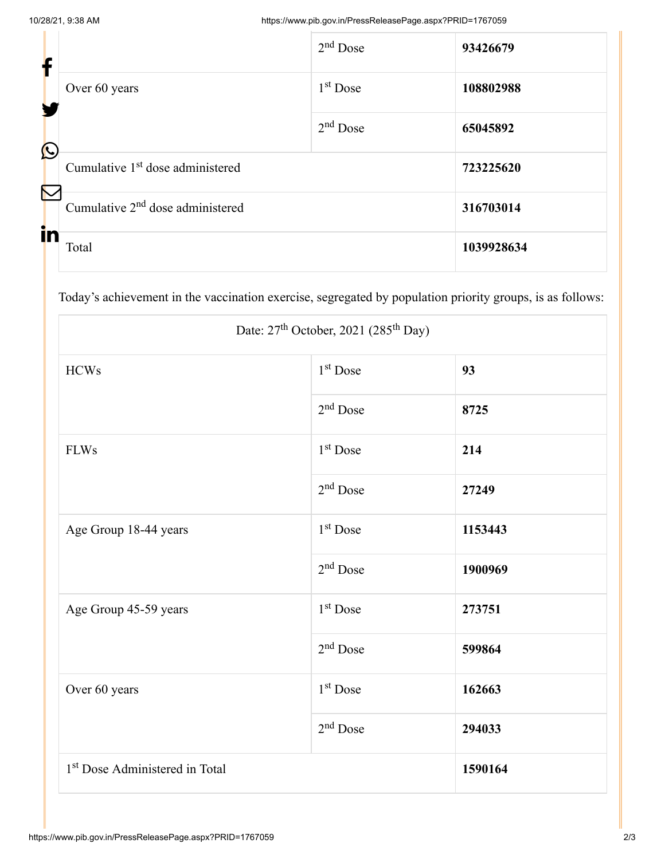| f            |                                              | $2nd$ Dose | 93426679   |
|--------------|----------------------------------------------|------------|------------|
|              | Over 60 years                                | $1st$ Dose | 108802988  |
| $\bigcirc$   |                                              | $2nd$ Dose | 65045892   |
| $\bf \nabla$ | Cumulative 1 <sup>st</sup> dose administered |            | 723225620  |
| in           | Cumulative 2 <sup>nd</sup> dose administered |            | 316703014  |
|              | Total                                        |            | 1039928634 |

Today's achievement in the vaccination exercise, segregated by population priority groups, is as follows:

| Date: $27th$ October, 2021 (285 <sup>th</sup> Day) |                      |         |  |  |
|----------------------------------------------------|----------------------|---------|--|--|
| <b>HCWs</b>                                        | $1st$ Dose           | 93      |  |  |
|                                                    | $2nd$ Dose           | 8725    |  |  |
| <b>FLWs</b>                                        | 1 <sup>st</sup> Dose | 214     |  |  |
|                                                    | $2nd$ Dose           | 27249   |  |  |
| Age Group 18-44 years                              | $1st$ Dose           | 1153443 |  |  |
|                                                    | $2nd$ Dose           | 1900969 |  |  |
| Age Group 45-59 years                              | $1st$ Dose           | 273751  |  |  |
|                                                    | $2nd$ Dose           | 599864  |  |  |
| Over 60 years                                      | 1 <sup>st</sup> Dose | 162663  |  |  |
|                                                    | $2nd$ Dose           | 294033  |  |  |
| 1 <sup>st</sup> Dose Administered in Total         |                      | 1590164 |  |  |